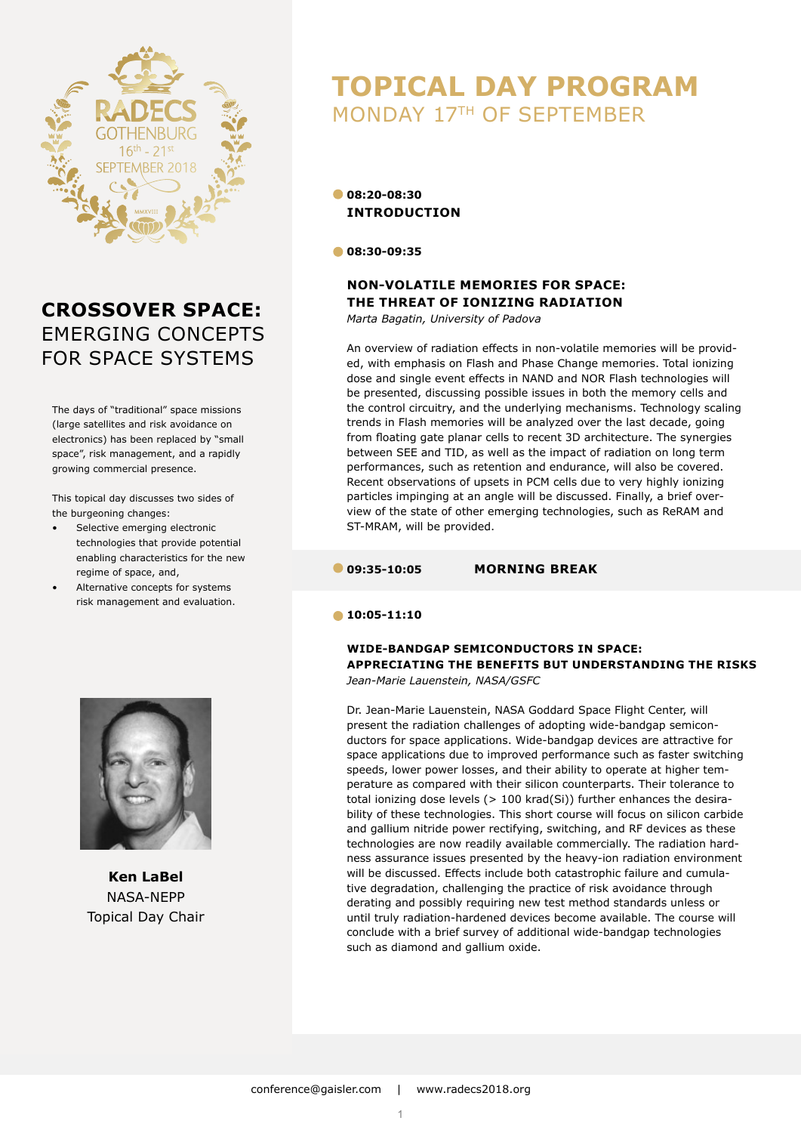

# **CROSSOVER SPACE:** EMERGING CONCEPTS FOR SPACE SYSTEMS

The days of "traditional" space missions (large satellites and risk avoidance on electronics) has been replaced by "small space", risk management, and a rapidly growing commercial presence.

This topical day discusses two sides of the burgeoning changes:

- Selective emerging electronic technologies that provide potential enabling characteristics for the new regime of space, and,
- Alternative concepts for systems risk management and evaluation.



**Ken LaBel** NASA-NEPP Topical Day Chair

# **TOPICAL DAY PROGRAM**  MONDAY 17TH OF SEPTEMBER

#### **08:20-08:30 INTRODUCTION**

**08:30-09:35**

### **NON-VOLATILE MEMORIES FOR SPACE: THE THREAT OF IONIZING RADIATION**

*Marta Bagatin, University of Padova*

An overview of radiation effects in non-volatile memories will be provided, with emphasis on Flash and Phase Change memories. Total ionizing dose and single event effects in NAND and NOR Flash technologies will be presented, discussing possible issues in both the memory cells and the control circuitry, and the underlying mechanisms. Technology scaling trends in Flash memories will be analyzed over the last decade, going from floating gate planar cells to recent 3D architecture. The synergies between SEE and TID, as well as the impact of radiation on long term performances, such as retention and endurance, will also be covered. Recent observations of upsets in PCM cells due to very highly ionizing particles impinging at an angle will be discussed. Finally, a brief overview of the state of other emerging technologies, such as ReRAM and ST-MRAM, will be provided.

#### **09:35-10:05 MORNING BREAK**

#### **10:05-11:10**

## **WIDE-BANDGAP SEMICONDUCTORS IN SPACE: APPRECIATING THE BENEFITS BUT UNDERSTANDING THE RISKS**

*Jean-Marie Lauenstein, NASA/GSFC*

Dr. Jean-Marie Lauenstein, NASA Goddard Space Flight Center, will present the radiation challenges of adopting wide-bandgap semiconductors for space applications. Wide-bandgap devices are attractive for space applications due to improved performance such as faster switching speeds, lower power losses, and their ability to operate at higher temperature as compared with their silicon counterparts. Their tolerance to total ionizing dose levels (> 100 krad(Si)) further enhances the desirability of these technologies. This short course will focus on silicon carbide and gallium nitride power rectifying, switching, and RF devices as these technologies are now readily available commercially. The radiation hardness assurance issues presented by the heavy-ion radiation environment will be discussed. Effects include both catastrophic failure and cumulative degradation, challenging the practice of risk avoidance through derating and possibly requiring new test method standards unless or until truly radiation-hardened devices become available. The course will conclude with a brief survey of additional wide-bandgap technologies such as diamond and gallium oxide.